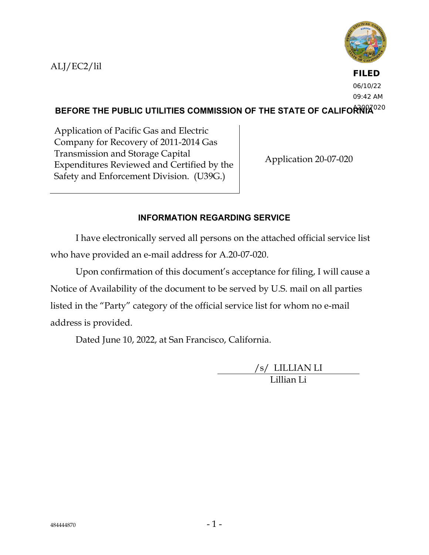ALJ/EC2/lil



**FILED** 06/10/22 09:42 AM

BEFORE THE PUBLIC UTILITIES COMMISSION OF THE STATE OF CALIFO<del>RN</del>IA<sup>020</sup>

Application of Pacific Gas and Electric Company for Recovery of 2011-2014 Gas Transmission and Storage Capital Expenditures Reviewed and Certified by the Safety and Enforcement Division. (U39G.)

Application 20-07-020

# **INFORMATION REGARDING SERVICE**

I have electronically served all persons on the attached official service list who have provided an e-mail address for A.20-07-020.

Upon confirmation of this document's acceptance for filing, I will cause a Notice of Availability of the document to be served by U.S. mail on all parties listed in the "Party" category of the official service list for whom no e-mail address is provided.

Dated June 10, 2022, at San Francisco, California.

/s/ LILLIAN LI Lillian Li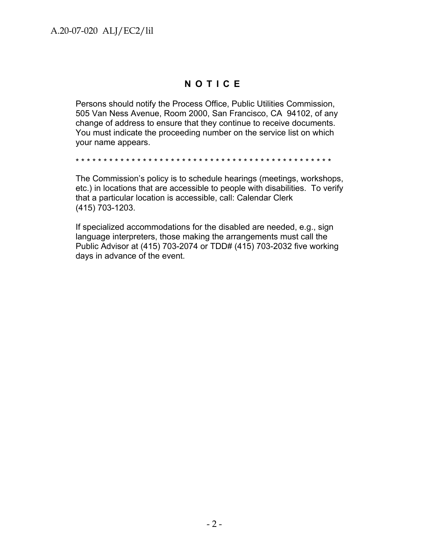# **NOTICE**

Persons should notify the Process Office, Public Utilities Commission, 505 Van Ness Avenue, Room 2000, San Francisco, CA 94102, of any change of address to ensure that they continue to receive documents. You must indicate the proceeding number on the service list on which your name appears.

\* \* \* \* \* \* \* \* \* \* \* \* \* \* \* \* \* \* \* \* \* \* \* \* \* \* \* \* \* \* \* \* \* \* \* \* \* \* \* \* \* \* \* \* \* \*

The Commission's policy is to schedule hearings (meetings, workshops, etc.) in locations that are accessible to people with disabilities. To verify that a particular location is accessible, call: Calendar Clerk (415) 703-1203.

If specialized accommodations for the disabled are needed, e.g., sign language interpreters, those making the arrangements must call the Public Advisor at (415) 703-2074 or TDD# (415) 703-2032 five working days in advance of the event.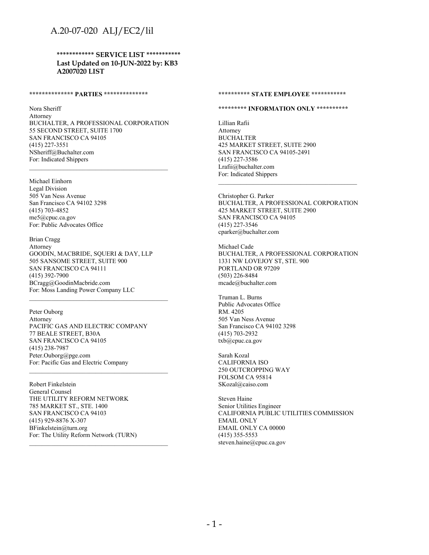# A.20-07-020 ALJ/EC2/lil

**\*\*\*\*\*\*\*\*\*\*\*\* SERVICE LIST \*\*\*\*\*\*\*\*\*\*\* Last Updated on 10-JUN-2022 by: KB3 A2007020 LIST**

#### **\*\*\*\*\*\*\*\*\*\*\*\*\*\* PARTIES \*\*\*\*\*\*\*\*\*\*\*\*\*\***

Nora Sheriff Attorney BUCHALTER, A PROFESSIONAL CORPORATION 55 SECOND STREET, SUITE 1700 SAN FRANCISCO CA 94105 (415) 227-3551 NSheriff@Buchalter.com For: Indicated Shippers  $\mathcal{L}_\text{max}$  and the contract of the contract of the contract of the contract of the contract of the contract of the contract of the contract of the contract of the contract of the contract of the contract of the contrac

Michael Einhorn Legal Division 505 Van Ness Avenue San Francisco CA 94102 3298 (415) 703-4852 me5@cpuc.ca.gov For: Public Advocates Office

Brian Cragg Attorney GOODIN, MACBRIDE, SQUERI & DAY, LLP 505 SANSOME STREET, SUITE 900 SAN FRANCISCO CA 94111 (415) 392-7900 BCragg@GoodinMacbride.com For: Moss Landing Power Company LLC

Peter Ouborg Attorney PACIFIC GAS AND ELECTRIC COMPANY 77 BEALE STREET, B30A SAN FRANCISCO CA 94105 (415) 238-7987 Peter.Ouborg@pge.com For: Pacific Gas and Electric Company

Robert Finkelstein General Counsel THE UTILITY REFORM NETWORK 785 MARKET ST., STE. 1400 SAN FRANCISCO CA 94103 (415) 929-8876 X-307 BFinkelstein@turn.org For: The Utility Reform Network (TURN)

#### **\*\*\*\*\*\*\*\*\*\* STATE EMPLOYEE \*\*\*\*\*\*\*\*\*\*\***

### **\*\*\*\*\*\*\*\*\* INFORMATION ONLY \*\*\*\*\*\*\*\*\*\***

Lillian Rafii Attorney BUCHALTER 425 MARKET STREET, SUITE 2900 SAN FRANCISCO CA 94105-2491 (415) 227-3586 Lrafii@buchalter.com For: Indicated Shippers

Christopher G. Parker BUCHALTER, A PROFESSIONAL CORPORATION 425 MARKET STREET, SUITE 2900 SAN FRANCISCO CA 94105 (415) 227-3546 cparker@buchalter.com

Michael Cade BUCHALTER, A PROFESSIONAL CORPORATION 1331 NW LOVEJOY ST, STE. 900 PORTLAND OR 97209 (503) 226-8484 mcade@buchalter.com

Truman L. Burns Public Advocates Office RM. 4205 505 Van Ness Avenue San Francisco CA 94102 3298 (415) 703-2932 txb@cpuc.ca.gov

Sarah Kozal CALIFORNIA ISO 250 OUTCROPPING WAY FOLSOM CA 95814 SKozal@caiso.com

Steven Haine Senior Utilities Engineer CALIFORNIA PUBLIC UTILITIES COMMISSION EMAIL ONLY EMAIL ONLY CA 00000 (415) 355-5553 steven.haine@cpuc.ca.gov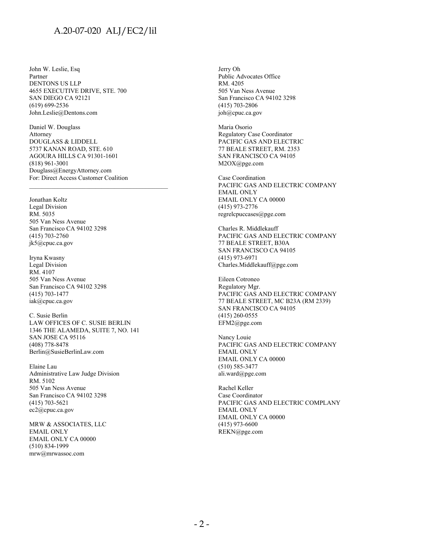### A.20-07-020 ALJ/EC2/lil

John W. Leslie, Esq Partner DENTONS US LLP 4655 EXECUTIVE DRIVE, STE. 700 SAN DIEGO CA 92121 (619) 699-2536 John.Leslie@Dentons.com

Daniel W. Douglass Attorney DOUGLASS & LIDDELL 5737 KANAN ROAD, STE. 610 AGOURA HILLS CA 91301-1601 (818) 961-3001 Douglass@EnergyAttorney.com For: Direct Access Customer Coalition

 $\mathcal{L}_\text{max}$  and the contract of the contract of the contract of the contract of the contract of the contract of the contract of the contract of the contract of the contract of the contract of the contract of the contrac

Jonathan Koltz Legal Division RM. 5035 505 Van Ness Avenue San Francisco CA 94102 3298 (415) 703-2760 jk5@cpuc.ca.gov

Iryna Kwasny Legal Division RM. 4107 505 Van Ness Avenue San Francisco CA 94102 3298 (415) 703-1477 iak@cpuc.ca.gov

C. Susie Berlin LAW OFFICES OF C. SUSIE BERLIN 1346 THE ALAMEDA, SUITE 7, NO. 141 SAN JOSE CA 95116 (408) 778-8478 Berlin@SusieBerlinLaw.com

Elaine Lau Administrative Law Judge Division RM. 5102 505 Van Ness Avenue San Francisco CA 94102 3298 (415) 703-5621 ec2@cpuc.ca.gov

MRW & ASSOCIATES, LLC EMAIL ONLY EMAIL ONLY CA 00000 (510) 834-1999 mrw@mrwassoc.com

Jerry Oh Public Advocates Office RM. 4205 505 Van Ness Avenue San Francisco CA 94102 3298 (415) 703-2806 joh@cpuc.ca.gov

Maria Osorio Regulatory Case Coordinator PACIFIC GAS AND ELECTRIC 77 BEALE STREET, RM. 2353 SAN FRANCISCO CA 94105 M2OX@pge.com

Case Coordination PACIFIC GAS AND ELECTRIC COMPANY EMAIL ONLY EMAIL ONLY CA 00000 (415) 973-2776 regrelcpuccases@pge.com

Charles R. Middlekauff PACIFIC GAS AND ELECTRIC COMPANY 77 BEALE STREET, B30A SAN FRANCISCO CA 94105 (415) 973-6971 Charles.Middlekauff@pge.com

Eileen Cotroneo Regulatory Mgr. PACIFIC GAS AND ELECTRIC COMPANY 77 BEALE STREET, MC B23A (RM 2339) SAN FRANCISCO CA 94105 (415) 260-0555 EFM2@pge.com

Nancy Louie PACIFIC GAS AND ELECTRIC COMPANY EMAIL ONLY EMAIL ONLY CA 00000 (510) 585-3477 ali.ward@pge.com

Rachel Keller Case Coordinator PACIFIC GAS AND ELECTRIC COMPLANY EMAIL ONLY EMAIL ONLY CA 00000 (415) 973-6600 REKN@pge.com